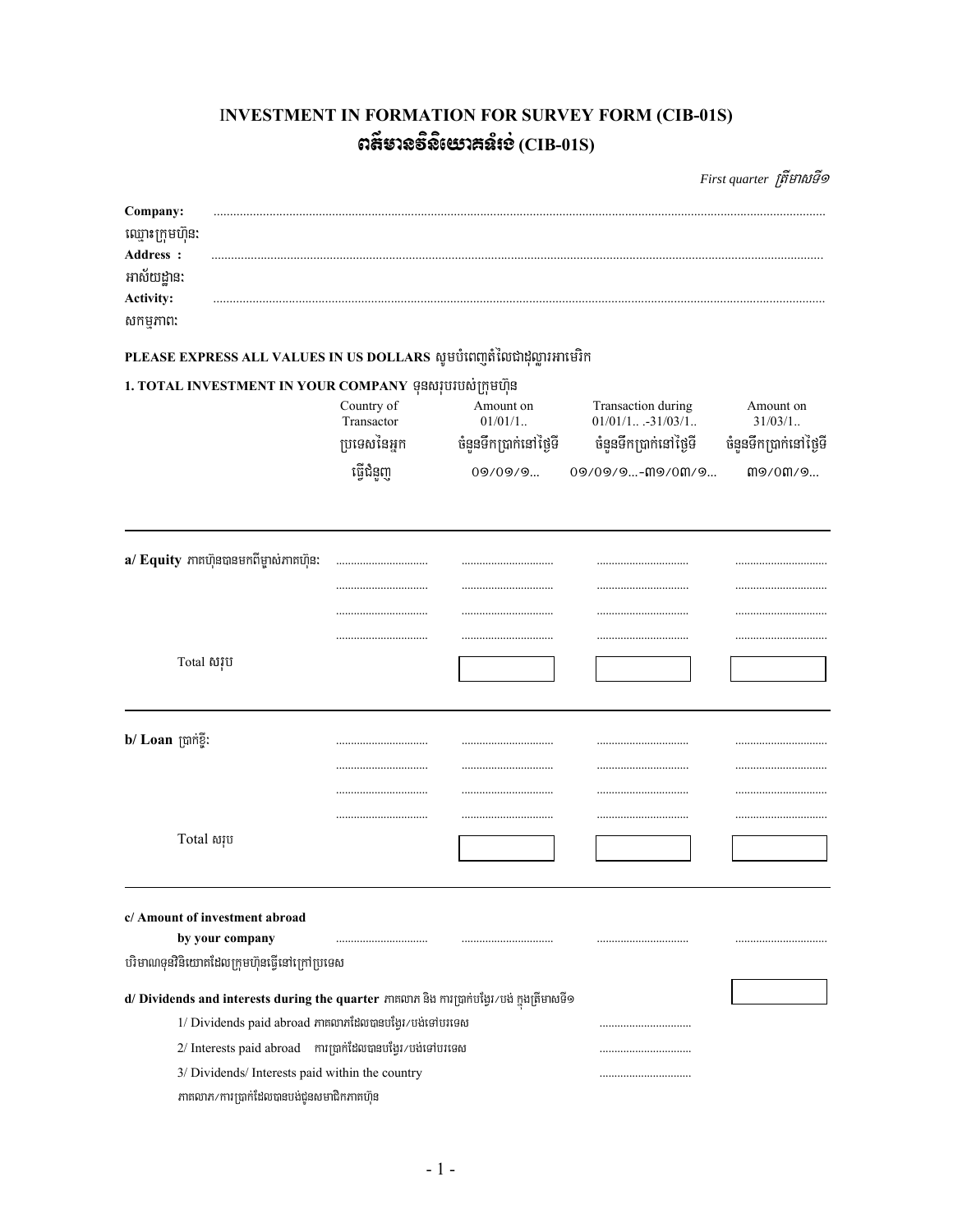# **INVESTMENT IN FORMATION FOR SURVEY FORM (CIB-01S)** ตส์ยาลธิลิเยาสล์เอ่ $(CIB-01S)$

First quarter ព្រឹមាសទី១

| Company:<br>ឈ្មោះក្រុមហ៊ុន:<br>Address :<br>អាស័យដាន:<br><b>Activity:</b><br>សកម្មភាព:                                                                                                                                                                                                                      |                                                       |                                                             |                                                                                       |                                                                     |
|-------------------------------------------------------------------------------------------------------------------------------------------------------------------------------------------------------------------------------------------------------------------------------------------------------------|-------------------------------------------------------|-------------------------------------------------------------|---------------------------------------------------------------------------------------|---------------------------------------------------------------------|
| PLEASE EXPRESS ALL VALUES IN US DOLLARS សូមបំពេញតំលៃជាដុល្លារអាមេរិក                                                                                                                                                                                                                                        |                                                       |                                                             |                                                                                       |                                                                     |
| 1. TOTAL INVESTMENT IN YOUR COMPANY ទុនសរុបរបស់ក្រុមហ៊ុន                                                                                                                                                                                                                                                    | Country of<br>Transactor<br>ប្រទេសនៃអ្នក<br>ធ្វើជំនួញ | Amount on<br>$01/01/1$<br>ចំនួនទឹកប្រាក់នៅថ្ងៃទី<br>09/09/9 | Transaction during<br>$01/01/1$ -31/03/1<br>ចំនួនទឹកប្រាក់នៅថ្ងៃទី<br>09/09/9-M9/0M/9 | Amount on<br>$31/03/1$<br>ចំនួនទឹកប្រាក់នៅថ្ងៃទី<br><b>m</b> 9/0M/9 |
| a/ Equity ភាគហ៊ុនបានមកពីម្ចាស់ភាគហ៊ុន:                                                                                                                                                                                                                                                                      |                                                       |                                                             | <br>                                                                                  |                                                                     |
| Total សរុប                                                                                                                                                                                                                                                                                                  |                                                       |                                                             |                                                                                       |                                                                     |
| b/ Loan ស្រាក់ខ្ទី:                                                                                                                                                                                                                                                                                         |                                                       |                                                             |                                                                                       |                                                                     |
| Total សរុប                                                                                                                                                                                                                                                                                                  |                                                       |                                                             |                                                                                       |                                                                     |
| c/ Amount of investment abroad<br>by your company                                                                                                                                                                                                                                                           |                                                       |                                                             |                                                                                       |                                                                     |
| បរិមាណទុនវិនិយោគដែលក្រុមហ៊ុនធ្វើនៅក្រៅប្រទេស                                                                                                                                                                                                                                                                |                                                       |                                                             |                                                                                       |                                                                     |
| d/ Dividends and interests during the quarter ភាគលាភ និង ការប្រាក់បង្វែរ/បង់ ក្នុងត្រីមាសទី១<br>1/ Dividends paid abroad ភាគលាភដែលបានបង្វែរ/បង់ទៅបរទេស<br>2/ Interests paid abroad mimitanmanigi/unighungan<br>3/ Dividends/ Interests paid within the country<br>ភាគលាភ/ការប្រាក់ដែលបានបង់ជូនសមាជិកភាគហ៊ុន |                                                       |                                                             |                                                                                       |                                                                     |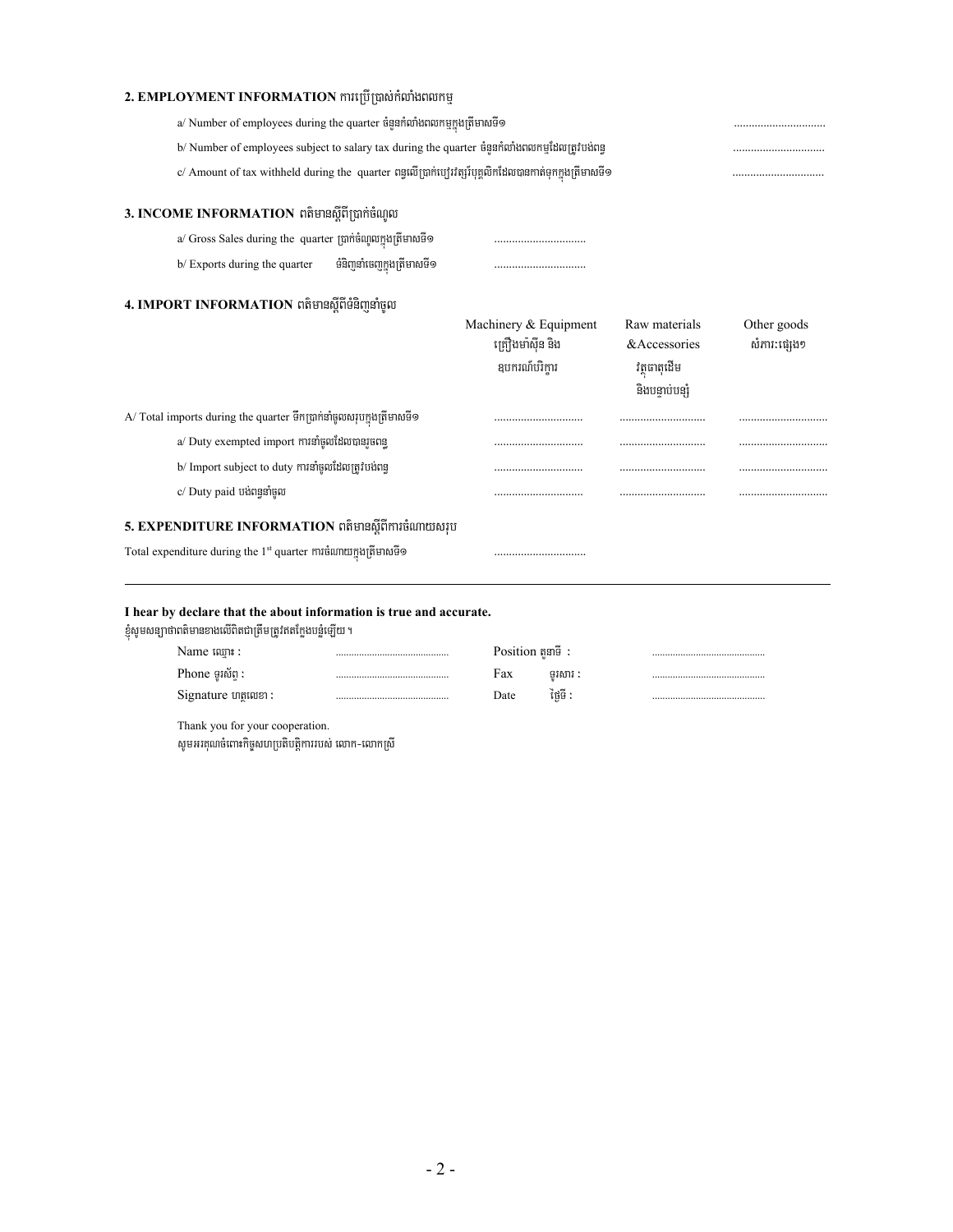### **2. EMPLOYMENT INFORMATION** mหญิญต่อท้ดภัษตดหนู

| a/ Number of employees during the quarter ចំនួនកំលាំងពលកម្មក្នុងត្រីមាសទី១                                |  |
|-----------------------------------------------------------------------------------------------------------|--|
| b/ Number of employees subject to salary tax during the quarter ចំនួនកំលាំងពលកម្មដែលត្រូវបង់ពន            |  |
| c/ Amount of tax withheld during the  quarter ពន្ធលើប្រាក់ប្យេីវព្សរ៍បុគ្គលិកដែលបានកាត់ទុកក្នុងត្រីមាសទី១ |  |

#### 3. INCOME INFORMATION ពត៌មានស្តីពីប្រាក់ចំណូល

- a/ Gross Sales during the quarter R)ak;cMNUlkñúgRtImasTI1 >>>>>>>>>>>>>>>>>>>>>>>>>>>>>>>
- b/ Exports during the quarter TMnijnaMecjkñúgRtImasTI1 >>>>>>>>>>>>>>>>>>>>>>>>>>>>>>>

#### 4. IMPORT INFORMATION ពត៌មានស្តីពីទំនិញនាំចូល

|                                                                              | Machinery & Equipment | Raw materials | Other goods  |
|------------------------------------------------------------------------------|-----------------------|---------------|--------------|
|                                                                              | ត្រឿងមាំស៊ីន និង      | & Accessories | សំភារ:ជេរុង១ |
|                                                                              | ឧបករណបរការ            | វតធាតដើម      |              |
|                                                                              |                       | និងបនាប់បនរំ  |              |
| A/ Total imports during the quarter ទឹកប្រាក់នាំចូលសរុបក្នុងត្រីមាសទី១       |                       |               |              |
| a/ Duty exempted import ការនាំចូលដែលបានរចពន                                  |                       |               |              |
| b/ Import subject to duty ការនាំចូលដែលត្រូវបង់ពន                             |                       |               |              |
| c/ Duty paid បង់ពន្ធនាំចល                                                    |                       |               |              |
| 5. EXPENDITURE INFORMATION ពត៌មានស្តីពីការចំណាយសរប                           |                       |               |              |
| Total expenditure during the 1 <sup>st</sup> quarter ការចំណាយក្នុងត្រីមាសទី១ |                       |               |              |

#### **I hear by declare that the about information is true and accurate.**

ខ្ញុំសូមសន្យាថាពតិមានខាងលើពិតជាត្រឹមត្រូវឥតក្លែងបន្លំឡើយ ។

| Name ឈោះ :                | Position $\mathbb{R}^n$ : |         |  |
|---------------------------|---------------------------|---------|--|
| Phone ទរស័ព :<br><b>A</b> | Fax                       | ទរសារ : |  |
| Signature ហតុលេខា :       | Date                      | ថៃទី :  |  |
|                           |                           |         |  |

Thank you for your cooperation. សូមអរគុណចំពោះកិច្ចសហប្រតិបត្តិការរបស់ លោក-លោកស្រី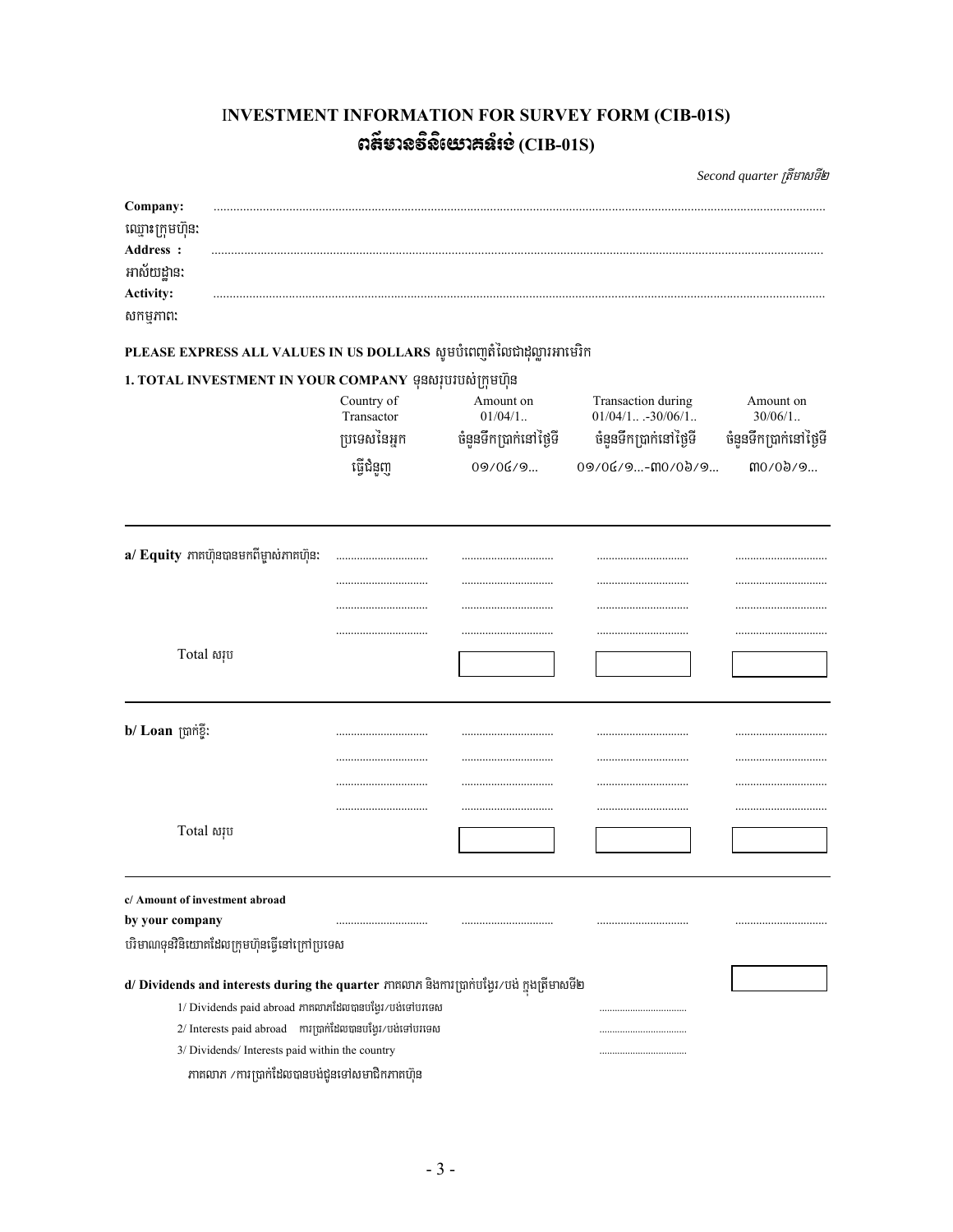## INVESTMENT INFORMATION FOR SURVEY FORM (CIB-01S) ตส์ยาลธิลิเยาสล์เอ่ $(CIB-01S)$

Second quarter ត្រីមាសទី២

| Company:                                                                                    |                          |                        |                                          |                        |
|---------------------------------------------------------------------------------------------|--------------------------|------------------------|------------------------------------------|------------------------|
| ឈ្មោះក្រុមហ៊ុន:                                                                             |                          |                        |                                          |                        |
| Address :                                                                                   |                          |                        |                                          |                        |
| អាស័យដ្ឋាន:<br><b>Activity:</b>                                                             |                          |                        |                                          |                        |
| សកម្មភាព:                                                                                   |                          |                        |                                          |                        |
|                                                                                             |                          |                        |                                          |                        |
| PLEASE EXPRESS ALL VALUES IN US DOLLARS សូមបំពេញតំលៃជាដុល្លារអាមេរិក                        |                          |                        |                                          |                        |
| 1. TOTAL INVESTMENT IN YOUR COMPANY ទុនសរុបរបស់ក្រុមហ៊ុន                                    |                          |                        |                                          |                        |
|                                                                                             | Country of<br>Transactor | Amount on<br>$01/04/1$ | Transaction during<br>$01/04/1 -30/06/1$ | Amount on<br>$30/06/1$ |
|                                                                                             | ប្រទេសនៃអ្នក             | ចំនួនទឹកប្រាក់នៅថ្ងៃទី | ចំនួនទឹកប្រាក់នៅថ្ងៃទី                   | ចំនួនទឹកប្រាក់នៅថ្ងៃទី |
|                                                                                             | ធ្វើជំនួញ                | 09/06/9                | 09/06/9-00/09/9                          | mo/0b/9                |
| a/ Equity ភាគហ៊ុនបានមកពីម្ចាស់ភាគហ៊ុន:                                                      |                          |                        |                                          |                        |
|                                                                                             |                          |                        |                                          |                        |
|                                                                                             |                          |                        |                                          |                        |
|                                                                                             |                          |                        |                                          |                        |
| Total សរុប                                                                                  |                          |                        |                                          |                        |
| b/ Loan ប្រាក់ខ្ទី:                                                                         |                          |                        |                                          |                        |
|                                                                                             |                          |                        |                                          |                        |
|                                                                                             |                          |                        |                                          |                        |
|                                                                                             |                          |                        |                                          |                        |
|                                                                                             |                          |                        |                                          |                        |
| Total សរុប                                                                                  |                          |                        |                                          |                        |
|                                                                                             |                          |                        |                                          |                        |
| c/ Amount of investment abroad                                                              |                          |                        |                                          |                        |
| by your company                                                                             |                          |                        |                                          |                        |
| បរិមាណទុនវិនិយោគដែលក្រុមហ៊ុនធ្វើនៅក្រៅប្រទេស                                                |                          |                        |                                          |                        |
| d/ Dividends and interests during the quarter ភាគលាភ និងការប្រាក់បង្វែរ/បង់ ក្នុងត្រីមាសទី២ |                          |                        |                                          |                        |
| 1/ Dividends paid abroad ភាគលាភដែលបានបង្វែរ/បង់ទៅបរទេស                                      |                          |                        |                                          |                        |
| 2/ Interests paid abroad miminitaomanigi/unighunga                                          |                          |                        |                                          |                        |
| 3/ Dividends/ Interests paid within the country                                             |                          |                        |                                          |                        |
| ភាគលាភ /ការប្រាក់ដែលបានបង់ជូនទៅសមាជិកភាគហ៊ុន                                                |                          |                        |                                          |                        |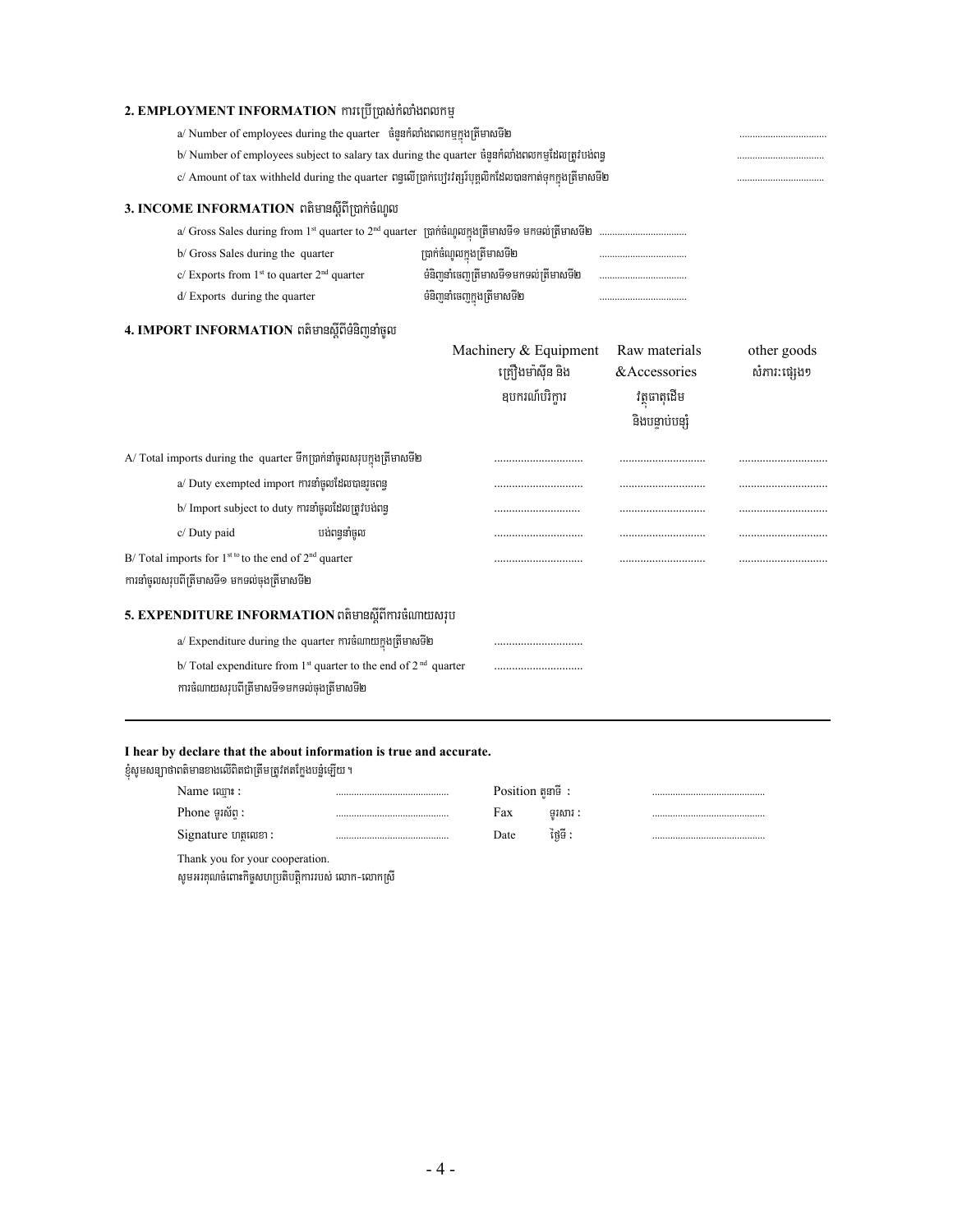| 2. EMPLOYMENT INFORMATION ការប្រើប្រាស់កំលាំងពលកម្ម                                                       |             |                                      |                 |              |  |
|-----------------------------------------------------------------------------------------------------------|-------------|--------------------------------------|-----------------|--------------|--|
| a/ Number of employees during the quarter ចំនួនកំលាំងពលកម្មក្នុងត្រីមាសទី២                                |             |                                      |                 |              |  |
| b/ Number of employees subject to salary tax during the quarter ចំនួនកំលាំងពលកម្មដែលត្រូវបង់ពន្ធ          |             |                                      |                 |              |  |
| c/ Amount of tax withheld during the quarter ពន្ធលើប្រាក់ប្យេីរវត្សរ៍បុគ្គលិកដែលបានកាត់ទុកក្នុងត្រីមាសទី២ |             |                                      |                 |              |  |
| 3. INCOME INFORMATION ពត៌មានស្តីពីប្រាក់ចំណូល                                                             |             |                                      |                 |              |  |
|                                                                                                           |             |                                      |                 |              |  |
| b/ Gross Sales during the quarter                                                                         |             | ប្រាក់ចំណូលក្នុងត្រីមាសទី២           |                 |              |  |
| c/ Exports from $1st$ to quarter $2nd$ quarter                                                            |             | ទំនិញនាំចេញត្រីមាសទី១មកទល់ត្រីមាសទី២ |                 |              |  |
| d/Exports during the quarter                                                                              |             | ទំនិញនាំចេញក្នុងត្រីមាសទី២           |                 |              |  |
| 4. IMPORT INFORMATION ពត៌មានស្តីពីទំនិញនាំចូល                                                             |             |                                      |                 |              |  |
|                                                                                                           |             | Machinery & Equipment                | Raw materials   | other goods  |  |
|                                                                                                           |             | គ្រឿងមាំស៊ីន និង                     | &Accessories    | សំភារ:ផ្សេង១ |  |
|                                                                                                           |             |                                      |                 |              |  |
|                                                                                                           |             | ឧបករណ៍បរិក្ការ                       | វត្ថុបាតុដើម    |              |  |
|                                                                                                           |             |                                      | និងបន្ទាប់បន្សំ |              |  |
| A/ Total imports during the quarter ទឹកប្រាក់នាំចូលសរុបក្នុងត្រីមាសទី២                                    |             |                                      |                 |              |  |
| a/ Duty exempted import ការនាំចូលដែលបានរួចពន្ធ                                                            |             |                                      |                 |              |  |
| b/ Import subject to duty ការនាំចូលដែលត្រូវបង់ពន្ធ                                                        |             |                                      |                 |              |  |
| c/ Duty paid                                                                                              | បង់ពននាំចូល |                                      |                 |              |  |
| B/Total imports for $1^{st \text{ to }}$ to the end of $2^{nd}$ quarter                                   |             |                                      |                 |              |  |
| ការនាំចូលសរុបពីត្រីមាសទី១ មកទល់ចុងត្រីមាសទី២                                                              |             |                                      |                 |              |  |
| 5. EXPENDITURE INFORMATION ពតិមានស្តីពីការចំណាយសរុប                                                       |             |                                      |                 |              |  |
| a/ Expenditure during the quarter ការចំណាយក្នុងត្រីមាសទី២                                                 |             |                                      |                 |              |  |
| b/Total expenditure from 1 <sup>st</sup> quarter to the end of 2 <sup>nd</sup> quarter                    |             |                                      |                 |              |  |

### **I hear by declare that the about information is true and accurate.**

.<br>ខ្ញុំសូមសន្យាថាពតិមានខាងលើពិតជាត្រឹមត្រូវឥតក្លែងបន្លំឡើយ ។

| Name ឈោះ :                      | Position $\mathfrak{g}$ and $\mathfrak{g}$ : |         |  |
|---------------------------------|----------------------------------------------|---------|--|
| Phone ទរស័ព :                   | Fax                                          | ទរសារ : |  |
| Signature ហតលេខា :              | Date                                         | ថៃទី :  |  |
| Thank you for your cooperation. |                                              |         |  |

សូមអរគុណចំពោះកិច្ចសហប្រតិបត្តិការរបស់ លោក-លោកស្រី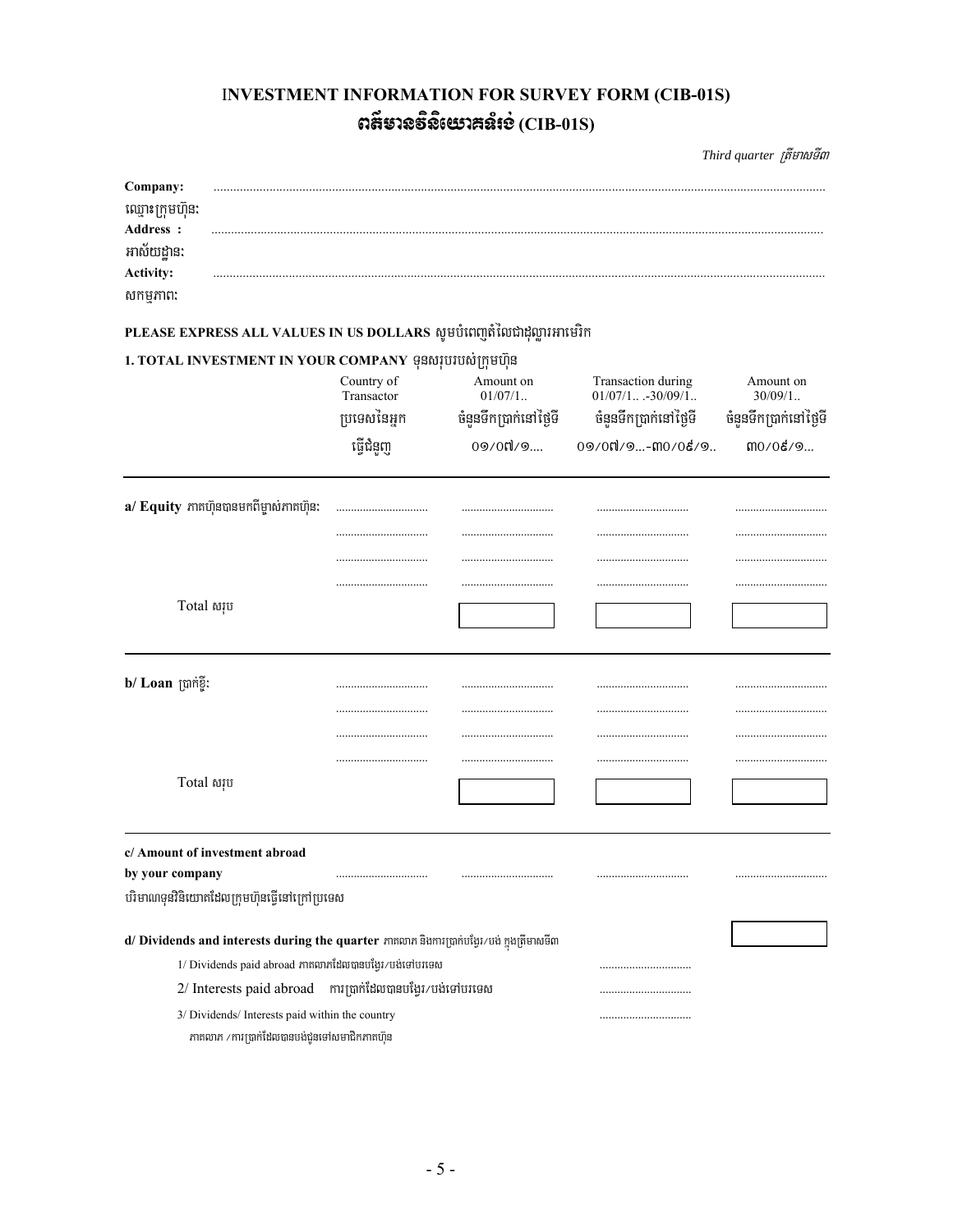# **INVESTMENT INFORMATION FOR SURVEY FORM (CIB-01S)** ตลียาจธิจิเษาสล์เช่ $(CIB-01S)$

Third quarter ត្រីមាសទី៣

| Company:<br>ឈ្មោះក្រុមហ៊ុន:<br>Address :<br>អាស័យដ្ឋាន:<br>Activity:<br>សកម្មភាព: |                                                                                                 |                                                                                                       |                                                                      |                                                                    |                                                    |
|-----------------------------------------------------------------------------------|-------------------------------------------------------------------------------------------------|-------------------------------------------------------------------------------------------------------|----------------------------------------------------------------------|--------------------------------------------------------------------|----------------------------------------------------|
|                                                                                   |                                                                                                 |                                                                                                       |                                                                      |                                                                    |                                                    |
|                                                                                   |                                                                                                 |                                                                                                       | PLEASE EXPRESS ALL VALUES IN US DOLLARS សូមបំពេញតំលៃជាដុល្លារអាមេរិក |                                                                    |                                                    |
|                                                                                   |                                                                                                 | 1. TOTAL INVESTMENT IN YOUR COMPANY  ទុនសរុបរបស់ក្រុមហ៊ុន<br>Country of<br>Transactor<br>ប្រទេសនៃអ្នក | Amount on<br>$01/07/1$<br>ចំនួនទឹកប្រាក់នៅថ្ងៃទី                     | Transaction during<br>$01/07/1$ -30/09/1<br>ចំនួនទឹកប្រាក់នៅថ្ងៃទី | Amount on<br>$30/09/1$ .<br>ចំនួនទឹកប្រាក់នៅថ្ងៃទី |
|                                                                                   |                                                                                                 | ធ្វើជំនួញ                                                                                             | 09/00/9                                                              | 09/0៧/9-៣0/0៩/9                                                    | mo/og/9                                            |
|                                                                                   | a/ Equity ភាគហ៊ុនបានមកពីម្ចាស់ភាគហ៊ុន:                                                          |                                                                                                       |                                                                      |                                                                    |                                                    |
|                                                                                   |                                                                                                 |                                                                                                       |                                                                      |                                                                    |                                                    |
|                                                                                   |                                                                                                 |                                                                                                       |                                                                      |                                                                    |                                                    |
| Total សរុប                                                                        |                                                                                                 |                                                                                                       |                                                                      |                                                                    |                                                    |
| b/ Loan ប្រាក់ខ្ទី:                                                               |                                                                                                 |                                                                                                       |                                                                      | <br>                                                               |                                                    |
|                                                                                   |                                                                                                 |                                                                                                       |                                                                      |                                                                    |                                                    |
| Total សរុប                                                                        |                                                                                                 |                                                                                                       |                                                                      |                                                                    |                                                    |
|                                                                                   | c/ Amount of investment abroad                                                                  |                                                                                                       |                                                                      |                                                                    |                                                    |
| by your company                                                                   |                                                                                                 |                                                                                                       |                                                                      |                                                                    |                                                    |
|                                                                                   | បរិមាណទុនវិនិយោគដែលក្រុមហ៊ុនធ្វើនៅក្រៅប្រទេស                                                    |                                                                                                       |                                                                      |                                                                    |                                                    |
|                                                                                   |                                                                                                 | d/ Dividends and interests during the quarter ភាគលាភ និងការប្រាក់បង្វែរ/បង់ ក្នុងត្រីមាសទី៣           |                                                                      |                                                                    |                                                    |
|                                                                                   |                                                                                                 | 1/ Dividends paid abroad ភាគលាភដែលបានបង្អែរ/បង់ទៅបរទេស                                                |                                                                      |                                                                    |                                                    |
|                                                                                   |                                                                                                 | 2/ Interests paid abroad minimitamanityi/utishungto                                                   |                                                                      |                                                                    |                                                    |
|                                                                                   | 3/ Dividends/ Interests paid within the country<br>ភាគលាភ /ការប្រាក់ដែលបានបង់ជូនទៅសមាជិកភាគហ៊ុន |                                                                                                       |                                                                      |                                                                    |                                                    |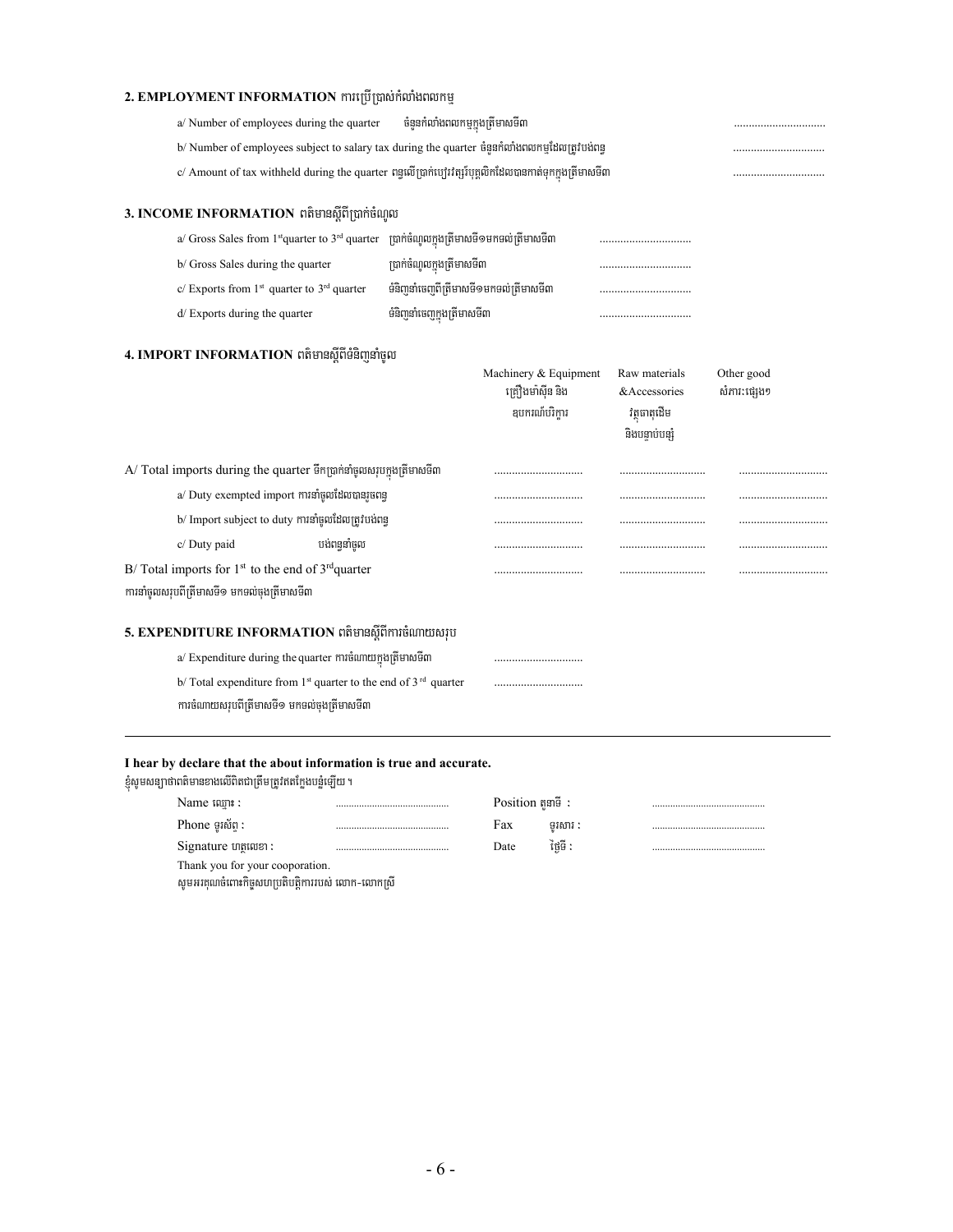### **2. EMPLOYMENT INFORMATION** mหญิญต่อท้องกันตอกหู

| a/ Number of employees during the quarter                                                                |                                        |                       |                 |              |
|----------------------------------------------------------------------------------------------------------|----------------------------------------|-----------------------|-----------------|--------------|
| b/ Number of employees subject to salary tax during the quarter ចំនួនកំលាំងពលកម្មដែលត្រូវបង់ពន្ធ         |                                        |                       |                 |              |
| c/ Amount of tax withheld during the quarter ពន្ធលើប្រាក់ប្បេះវត្សរ៍បុគ្គលិកដែលបានកាត់ទុកក្នុងត្រីមាសទី៣ |                                        |                       |                 |              |
| 3. INCOME INFORMATION ពត៌មានស្តីពីប្រាក់ចំណូល                                                            |                                        |                       |                 |              |
| a/ Gross Sales from $1st$ quarter to $3rd$ quarter $\lim$ ប្រាក់ចំណូលក្នុងត្រីមាសទី១មកទល់ត្រីមាសទី៣      |                                        |                       |                 |              |
| b/ Gross Sales during the quarter                                                                        | ប្រាក់ចំណូលក្នុងត្រីមាសទី៣             |                       |                 |              |
| c/ Exports from $1st$ quarter to $3rd$ quarter                                                           | ទំនិញនាំចេញពីត្រីមាសទី១មកទល់ត្រីមាសទី៣ |                       |                 |              |
| d/ Exports during the quarter                                                                            | ទំនិញនាំចេញក្នុងត្រីមាសទី៣             |                       |                 |              |
| 4. IMPORT INFORMATION ពត៌មានស្តីពីទំនិញនាំចូល                                                            |                                        |                       |                 |              |
|                                                                                                          |                                        | Machinery & Equipment | Raw materials   | Other good   |
|                                                                                                          |                                        | គ្រឿងមាំស៊ីន និង      | &Accessories    | សំភាវ:ផ្សេង១ |
|                                                                                                          |                                        | ឧបករណ៍បរិក្ខារ        | វត្តធាតុដើម     |              |
|                                                                                                          |                                        |                       | និងបន្ទាប់បន្សំ |              |
| A/ Total imports during the quarter ទឹកប្រាក់នាំចូលសរុបក្នុងត្រីមាសទី៣                                   |                                        |                       |                 |              |
| a/ Duty exempted import ការនាំចូលដែលបានរួចពន្ធ                                                           |                                        |                       |                 |              |
| b/ Import subject to duty ការនាំចូលដែលត្រូវបង់ពន្ធ                                                       |                                        |                       |                 |              |
| បង់ពននាំចូល<br>c/ Duty paid                                                                              |                                        |                       |                 |              |
| B/Total imports for $1st$ to the end of $3rd$ quarter                                                    |                                        |                       |                 |              |
| ការនាំចូលសរុបពីត្រីមាសទី១ មកទល់ចុងត្រីមាសទី៣                                                             |                                        |                       |                 |              |
| 5. EXPENDITURE INFORMATION ពតិមានស្តីពីការចំណាយសរុប                                                      |                                        |                       |                 |              |
| a/ Expenditure during the quarter ការចំណាយក្នុងត្រីមាសទី៣                                                |                                        |                       |                 |              |
| b/Total expenditure from $1st$ quarter to the end of $3rd$ quarter                                       |                                        |                       |                 |              |
| ការចំណាយសរុបពីត្រីមាសទី១ មកទល់ចុងត្រីមាសទី៣                                                              |                                        |                       |                 |              |

#### **I hear by declare that the about information is true and accurate.**

ខ្ញុំសូមសន្យាថាពតិមានខាងលើពិតជាត្រឹមត្រូវឥតក្លែងបន្លំឡើយ ។

| Name stame:                     |  | Position $\mathfrak{g}$ and $\mathfrak{g}$ : |         |  |  |  |
|---------------------------------|--|----------------------------------------------|---------|--|--|--|
| Phone ទូរស័ព :                  |  | Fax                                          | ទរសារ : |  |  |  |
| $Signature$ untimes :           |  | Date                                         | ថៃទី :  |  |  |  |
| Thank you for your cooporation. |  |                                              |         |  |  |  |
|                                 |  |                                              |         |  |  |  |

សូមអរគុណចំពោះកិច្ចសហប្រតិបត្តិការរបស់ លោក-លោកស្រី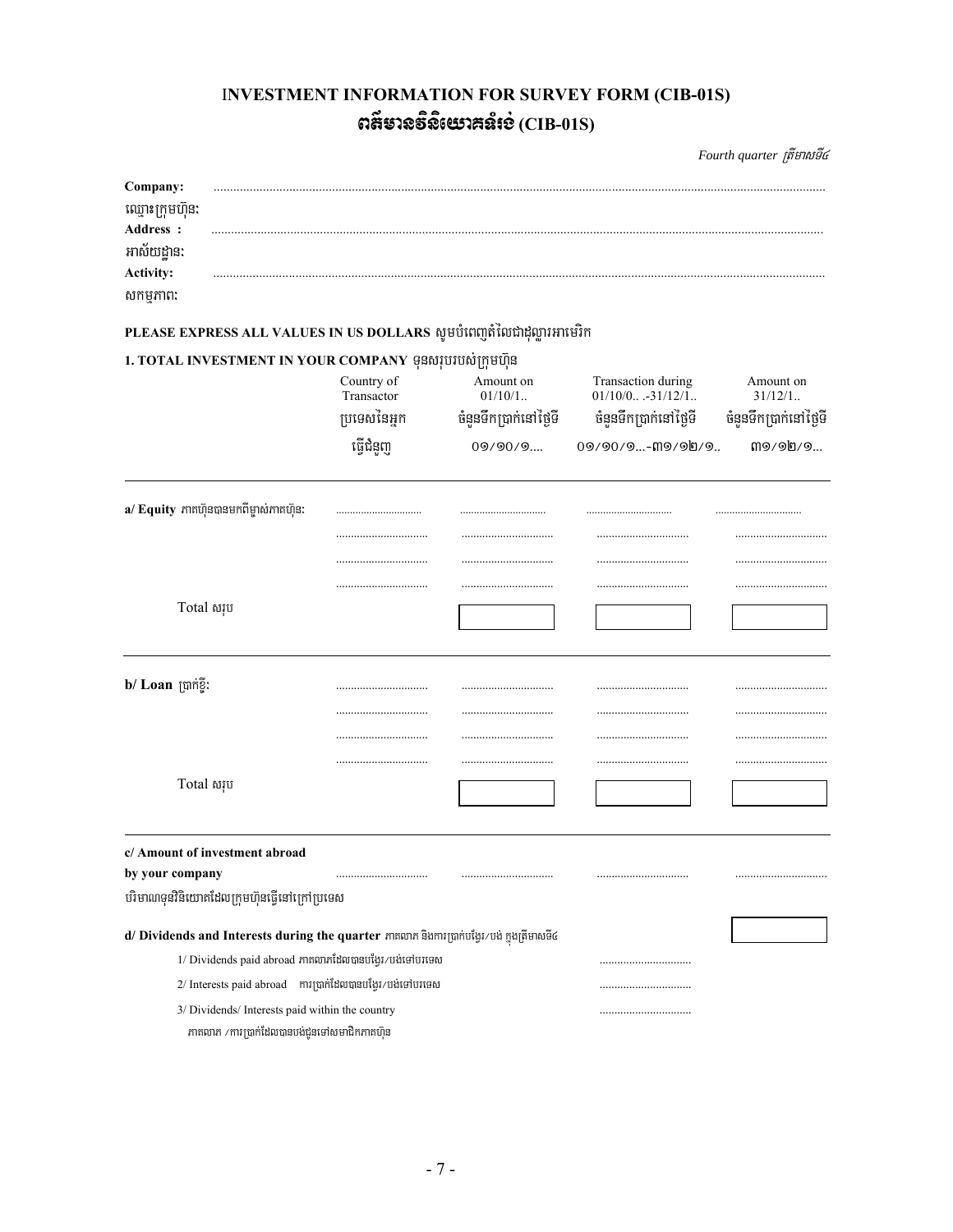## **INVESTMENT INFORMATION FOR SURVEY FORM (CIB-01S)** ตลียาจธิจิเษาสล์เช่ $(CIB-01S)$

Fourth quarter ត្រីមាសទី៤

| Company:               |                                              |                                                                                             |                        |                                          |                        |  |  |  |
|------------------------|----------------------------------------------|---------------------------------------------------------------------------------------------|------------------------|------------------------------------------|------------------------|--|--|--|
| ឈ្មោះក្រុមហ៊ុន:        |                                              |                                                                                             |                        |                                          |                        |  |  |  |
| Address :              |                                              |                                                                                             |                        |                                          |                        |  |  |  |
| អាស័យដាន:<br>Activity: |                                              |                                                                                             |                        |                                          |                        |  |  |  |
| សកម្មភាព:              |                                              |                                                                                             |                        |                                          |                        |  |  |  |
|                        |                                              |                                                                                             |                        |                                          |                        |  |  |  |
|                        |                                              | PLEASE EXPRESS ALL VALUES IN US DOLLARS សូមបំពេញតំលៃជាដុល្លារអាមេរិក                        |                        |                                          |                        |  |  |  |
|                        |                                              | 1. TOTAL INVESTMENT IN YOUR COMPANY ទុនសរុបរបស់ក្រុមហ៊ុន                                    |                        |                                          |                        |  |  |  |
|                        |                                              | Country of<br>Transactor                                                                    | Amount on<br>$01/10/1$ | Transaction during<br>$01/10/0$ -31/12/1 | Amount on<br>$31/12/1$ |  |  |  |
|                        |                                              | ប្រទេសនៃអ្នក                                                                                | ចំនួនទឹកប្រាក់នៅថ្ងៃទី | ចំនួនទឹកប្រាក់នៅថ្ងៃទី                   | ចំនួនទឹកប្រាក់នៅថ្ងៃទី |  |  |  |
|                        |                                              | ធ្វើជំនួញ                                                                                   | 09/90/9                | 09/90/9-ጠ9/90/9                          | m9/9h/9                |  |  |  |
|                        | a/ Equity ភាគហ៊ុនបានមកពីម្ចាស់ភាគហ៊ុន:       |                                                                                             |                        |                                          |                        |  |  |  |
|                        |                                              |                                                                                             |                        |                                          |                        |  |  |  |
|                        |                                              |                                                                                             |                        |                                          |                        |  |  |  |
|                        |                                              |                                                                                             |                        |                                          |                        |  |  |  |
| Total សរុប             |                                              |                                                                                             |                        |                                          |                        |  |  |  |
|                        |                                              |                                                                                             |                        |                                          |                        |  |  |  |
| b/ Loan ប្រាក់ខ្ទី:    |                                              |                                                                                             |                        |                                          |                        |  |  |  |
|                        |                                              |                                                                                             |                        |                                          |                        |  |  |  |
|                        |                                              |                                                                                             |                        |                                          |                        |  |  |  |
|                        |                                              |                                                                                             |                        |                                          |                        |  |  |  |
| Total សរុប             |                                              |                                                                                             |                        |                                          |                        |  |  |  |
|                        |                                              |                                                                                             |                        |                                          |                        |  |  |  |
|                        | c/ Amount of investment abroad               |                                                                                             |                        |                                          |                        |  |  |  |
| by your company        |                                              |                                                                                             |                        |                                          |                        |  |  |  |
|                        | បរិមាណទុនវិនិយោគដែលក្រុមហ៊ុនធ្វើនៅក្រៅប្រទេស |                                                                                             |                        |                                          |                        |  |  |  |
|                        |                                              | d/ Dividends and Interests during the quarter ភាគលាភ និងការប្រាក់បង្វែរ/បង់ ក្នុងត្រីមាសទី៤ |                        |                                          |                        |  |  |  |
|                        |                                              | 1/ Dividends paid abroad ភាគលាភដែលបានបង្អែរ/បង់ទៅបរទេស                                      |                        |                                          |                        |  |  |  |
|                        |                                              | 2/ Interests paid abroad     ការប្រាក់ដែលបានបង្វែរ/បង់ទៅបរទេស                               |                        |                                          |                        |  |  |  |
|                        |                                              | 3/ Dividends/ Interests paid within the country                                             |                        |                                          |                        |  |  |  |
|                        |                                              | ភាគលាភ /ការប្រាក់ដែលបានបង់ជូនទៅសមាជិកភាគហ៊ុន                                                |                        |                                          |                        |  |  |  |